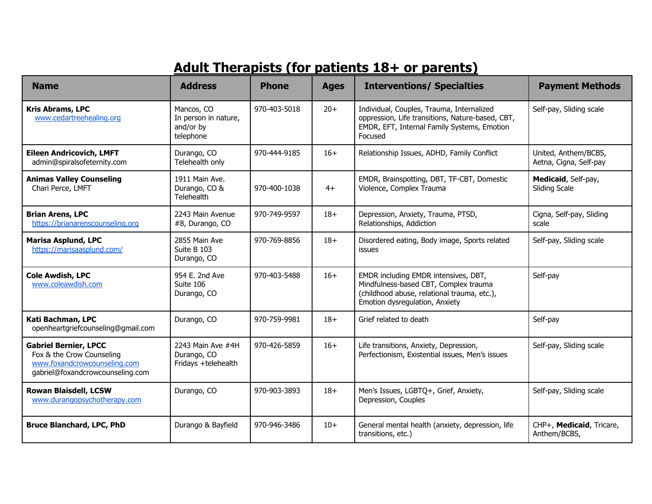## **Adult Therapists (for patients 18+ or parents)**

| <b>Name</b>                                                                                                                   | <b>Address</b>                                               | <b>Phone</b> | <b>Ages</b> | <b>Interventions/ Specialties</b>                                                                                                                              | <b>Payment Methods</b>                         |
|-------------------------------------------------------------------------------------------------------------------------------|--------------------------------------------------------------|--------------|-------------|----------------------------------------------------------------------------------------------------------------------------------------------------------------|------------------------------------------------|
| <b>Kris Abrams, LPC</b><br>www.cedartreehealing.org                                                                           | Mancos, CO<br>In person in nature,<br>and/or by<br>telephone | 970-403-5018 | $20+$       | Individual, Couples, Trauma, Internalized<br>oppression, Life transitions, Nature-based, CBT,<br>EMDR, EFT, Internal Family Systems, Emotion<br>Focused        | Self-pay, Sliding scale                        |
| <b>Eileen Andricovich, LMFT</b><br>admin@spiralsofeternity.com                                                                | Durango, CO<br>Telehealth only                               | 970-444-9185 | $16+$       | Relationship Issues, ADHD, Family Conflict                                                                                                                     | United, Anthem/BCBS,<br>Aetna, Cigna, Self-pay |
| <b>Animas Valley Counseling</b><br>Chari Perce, LMFT                                                                          | 1911 Main Ave.<br>Durango, CO &<br>Telehealth                | 970-400-1038 | $4+$        | EMDR, Brainspotting, DBT, TF-CBT, Domestic<br>Violence, Complex Trauma                                                                                         | Medicaid, Self-pay,<br><b>Sliding Scale</b>    |
| <b>Brian Arens, LPC</b><br>https://brianarenscounseling.org                                                                   | 2243 Main Avenue<br>#8, Durango, CO                          | 970-749-9597 | $18+$       | Depression, Anxiety, Trauma, PTSD,<br>Relationships, Addiction                                                                                                 | Cigna, Self-pay, Sliding<br>scale              |
| <b>Marisa Asplund, LPC</b><br>https://marisaasplund.com/                                                                      | 2855 Main Ave<br>Suite B 103<br>Durango, CO                  | 970-769-8856 | $18+$       | Disordered eating, Body image, Sports related<br><b>issues</b>                                                                                                 | Self-pay, Sliding scale                        |
| <b>Cole Awdish, LPC</b><br>www.coleawdish.com                                                                                 | 954 E. 2nd Ave<br>Suite 106<br>Durango, CO                   | 970-403-5488 | $16+$       | EMDR including EMDR intensives, DBT,<br>Mindfulness-based CBT, Complex trauma<br>(childhood abuse, relational trauma, etc.),<br>Emotion dysregulation, Anxiety | Self-pay                                       |
| Kati Bachman, LPC<br>openheartgriefcounseling@gmail.com                                                                       | Durango, CO                                                  | 970-759-9981 | $18+$       | Grief related to death                                                                                                                                         | Self-pay                                       |
| <b>Gabriel Bernier, LPCC</b><br>Fox & the Crow Counseling<br>www.foxandcrowcounseling.com<br>gabriel@foxandcrowcounseling.com | 2243 Main Ave #4H<br>Durango, CO<br>Fridays +telehealth      | 970-426-5859 | $16+$       | Life transitions, Anxiety, Depression,<br>Perfectionism, Existential issues, Men's issues                                                                      | Self-pay, Sliding scale                        |
| <b>Rowan Blaisdell, LCSW</b><br>www.durangopsychotherapy.com                                                                  | Durango, CO                                                  | 970-903-3893 | $18+$       | Men's Issues, LGBTQ+, Grief, Anxiety,<br>Depression, Couples                                                                                                   | Self-pay, Sliding scale                        |
| <b>Bruce Blanchard, LPC, PhD</b>                                                                                              | Durango & Bayfield                                           | 970-946-3486 | $10+$       | General mental health (anxiety, depression, life<br>transitions, etc.)                                                                                         | CHP+, Medicaid, Tricare,<br>Anthem/BCBS,       |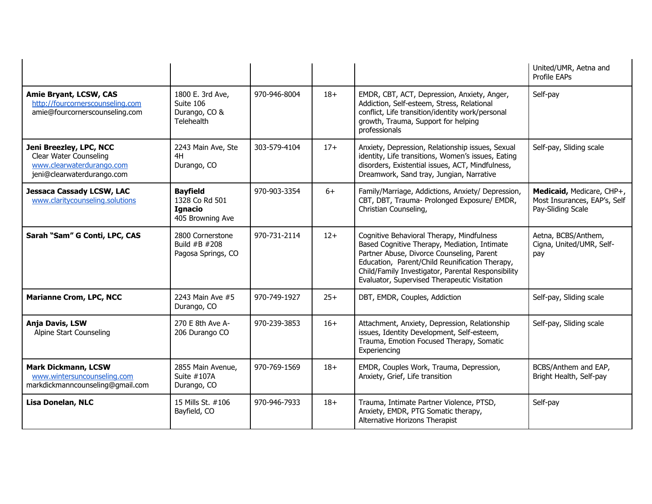|                                                                                                              |                                                                         |              |       |                                                                                                                                                                                                                                                                                                | United/UMR, Aetna and<br>Profile EAPs                                          |
|--------------------------------------------------------------------------------------------------------------|-------------------------------------------------------------------------|--------------|-------|------------------------------------------------------------------------------------------------------------------------------------------------------------------------------------------------------------------------------------------------------------------------------------------------|--------------------------------------------------------------------------------|
| <b>Amie Bryant, LCSW, CAS</b><br>http://fourcornerscounseling.com<br>amie@fourcornerscounseling.com          | 1800 E. 3rd Ave,<br>Suite 106<br>Durango, CO &<br>Telehealth            | 970-946-8004 | $18+$ | EMDR, CBT, ACT, Depression, Anxiety, Anger,<br>Addiction, Self-esteem, Stress, Relational<br>conflict, Life transition/identity work/personal<br>growth, Trauma, Support for helping<br>professionals                                                                                          | Self-pay                                                                       |
| Jeni Breezley, LPC, NCC<br>Clear Water Counseling<br>www.clearwaterdurango.com<br>jeni@clearwaterdurango.com | 2243 Main Ave, Ste<br>4H<br>Durango, CO                                 | 303-579-4104 | $17+$ | Anxiety, Depression, Relationship issues, Sexual<br>identity, Life transitions, Women's issues, Eating<br>disorders, Existential issues, ACT, Mindfulness,<br>Dreamwork, Sand tray, Jungian, Narrative                                                                                         | Self-pay, Sliding scale                                                        |
| <b>Jessaca Cassady LCSW, LAC</b><br>www.claritycounseling.solutions                                          | <b>Bayfield</b><br>1328 Co Rd 501<br><b>Ignacio</b><br>405 Browning Ave | 970-903-3354 | $6+$  | Family/Marriage, Addictions, Anxiety/ Depression,<br>CBT, DBT, Trauma- Prolonged Exposure/ EMDR,<br>Christian Counseling,                                                                                                                                                                      | Medicaid, Medicare, CHP+,<br>Most Insurances, EAP's, Self<br>Pay-Sliding Scale |
| Sarah "Sam" G Conti, LPC, CAS                                                                                | 2800 Cornerstone<br>Build #B #208<br>Pagosa Springs, CO                 | 970-731-2114 | $12+$ | Cognitive Behavioral Therapy, Mindfulness<br>Based Cognitive Therapy, Mediation, Intimate<br>Partner Abuse, Divorce Counseling, Parent<br>Education, Parent/Child Reunification Therapy,<br>Child/Family Investigator, Parental Responsibility<br>Evaluator, Supervised Therapeutic Visitation | Aetna, BCBS/Anthem,<br>Cigna, United/UMR, Self-<br>pay                         |
| <b>Marianne Crom, LPC, NCC</b>                                                                               | 2243 Main Ave #5<br>Durango, CO                                         | 970-749-1927 | $25+$ | DBT, EMDR, Couples, Addiction                                                                                                                                                                                                                                                                  | Self-pay, Sliding scale                                                        |
| Anja Davis, LSW<br>Alpine Start Counseling                                                                   | 270 E 8th Ave A-<br>206 Durango CO                                      | 970-239-3853 | $16+$ | Attachment, Anxiety, Depression, Relationship<br>issues, Identity Development, Self-esteem,<br>Trauma, Emotion Focused Therapy, Somatic<br>Experiencing                                                                                                                                        | Self-pay, Sliding scale                                                        |
| <b>Mark Dickmann, LCSW</b><br>www.wintersuncounseling.com<br>markdickmanncounseling@gmail.com                | 2855 Main Avenue,<br>Suite #107A<br>Durango, CO                         | 970-769-1569 | $18+$ | EMDR, Couples Work, Trauma, Depression,<br>Anxiety, Grief, Life transition                                                                                                                                                                                                                     | BCBS/Anthem and EAP,<br>Bright Health, Self-pay                                |
| <b>Lisa Donelan, NLC</b>                                                                                     | 15 Mills St. #106<br>Bayfield, CO                                       | 970-946-7933 | $18+$ | Trauma, Intimate Partner Violence, PTSD,<br>Anxiety, EMDR, PTG Somatic therapy,<br>Alternative Horizons Therapist                                                                                                                                                                              | Self-pay                                                                       |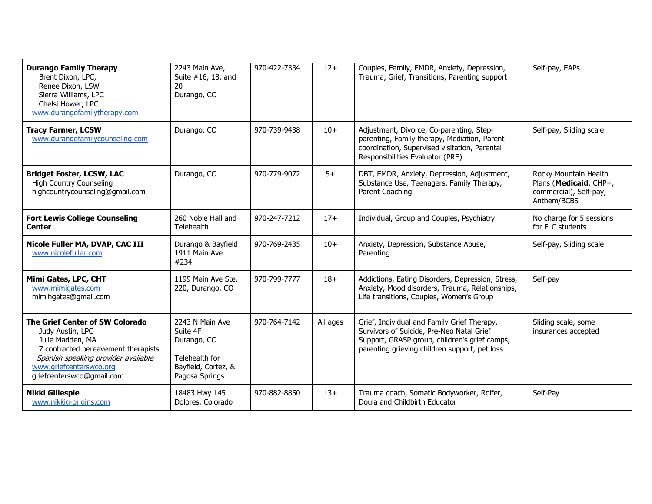| <b>Durango Family Therapy</b><br>Brent Dixon, LPC,<br>Renee Dixon, LSW<br>Sierra Williams, LPC<br>Chelsi Hower, LPC<br>www.durangofamilytherapy.com                                                           | 2243 Main Ave,<br>Suite #16, 18, and<br>20<br>Durango, CO                                             | 970-422-7334 | $12+$    | Couples, Family, EMDR, Anxiety, Depression,<br>Trauma, Grief, Transitions, Parenting support                                                                                               | Self-pay, EAPs                                                                           |
|---------------------------------------------------------------------------------------------------------------------------------------------------------------------------------------------------------------|-------------------------------------------------------------------------------------------------------|--------------|----------|--------------------------------------------------------------------------------------------------------------------------------------------------------------------------------------------|------------------------------------------------------------------------------------------|
| <b>Tracy Farmer, LCSW</b><br>www.durangofamilycounseling.com                                                                                                                                                  | Durango, CO                                                                                           | 970-739-9438 | $10+$    | Adjustment, Divorce, Co-parenting, Step-<br>parenting, Family therapy, Mediation, Parent<br>coordination, Supervised visitation, Parental<br>Responsibilities Evaluator (PRE)              | Self-pay, Sliding scale                                                                  |
| <b>Bridget Foster, LCSW, LAC</b><br><b>High Country Counseling</b><br>highcountrycounseling@gmail.com                                                                                                         | Durango, CO                                                                                           | 970-779-9072 | $5+$     | DBT, EMDR, Anxiety, Depression, Adjustment,<br>Substance Use, Teenagers, Family Therapy,<br>Parent Coaching                                                                                | Rocky Mountain Health<br>Plans (Medicaid, CHP+,<br>commercial), Self-pay,<br>Anthem/BCBS |
| <b>Fort Lewis College Counseling</b><br><b>Center</b>                                                                                                                                                         | 260 Noble Hall and<br>Telehealth                                                                      | 970-247-7212 | $17+$    | Individual, Group and Couples, Psychiatry                                                                                                                                                  | No charge for 5 sessions<br>for FLC students                                             |
| Nicole Fuller MA, DVAP, CAC III<br>www.nicolefuller.com                                                                                                                                                       | Durango & Bayfield<br>1911 Main Ave<br>#234                                                           | 970-769-2435 | $10+$    | Anxiety, Depression, Substance Abuse,<br>Parenting                                                                                                                                         | Self-pay, Sliding scale                                                                  |
| Mimi Gates, LPC, CHT<br>www.mimigates.com<br>mimihgates@gmail.com                                                                                                                                             | 1199 Main Ave Ste.<br>220, Durango, CO                                                                | 970-799-7777 | $18+$    | Addictions, Eating Disorders, Depression, Stress,<br>Anxiety, Mood disorders, Trauma, Relationships,<br>Life transitions, Couples, Women's Group                                           | Self-pay                                                                                 |
| The Grief Center of SW Colorado<br>Judy Austin, LPC<br>Julie Madden, MA<br>7 contracted bereavement therapists<br>Spanish speaking provider available<br>www.griefcenterswco.org<br>griefcenterswco@gmail.com | 2243 N Main Ave<br>Suite 4F<br>Durango, CO<br>Telehealth for<br>Bayfield, Cortez, &<br>Pagosa Springs | 970-764-7142 | All ages | Grief, Individual and Family Grief Therapy,<br>Survivors of Suicide, Pre-Neo Natal Grief<br>Support, GRASP group, children's grief camps,<br>parenting grieving children support, pet loss | Sliding scale, some<br>insurances accepted                                               |
| <b>Nikki Gillespie</b><br>www.nikkig-origins.com                                                                                                                                                              | 18483 Hwy 145<br>Dolores, Colorado                                                                    | 970-882-8850 | $13+$    | Trauma coach, Somatic Bodyworker, Rolfer,<br>Doula and Childbirth Educator                                                                                                                 | Self-Pay                                                                                 |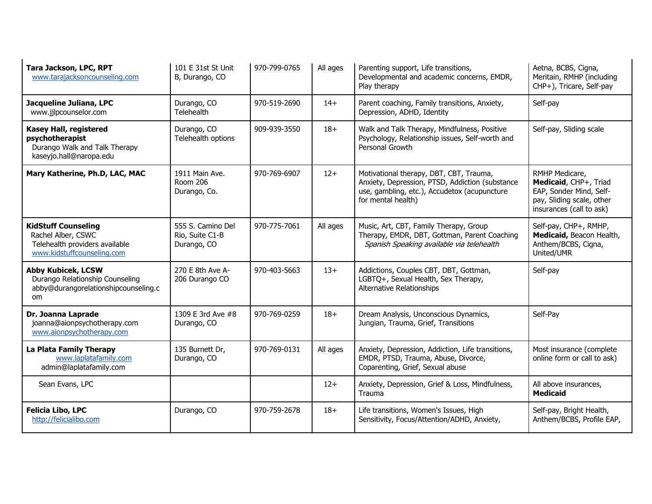| Tara Jackson, LPC, RPT<br>www.tarajacksoncounseling.com                                                          | 101 E 31st St Unit<br>B, Durango, CO                | 970-799-0765 | All ages | Parenting support, Life transitions,<br>Developmental and academic concerns, EMDR,<br>Play therapy                                                               | Aetna, BCBS, Cigna,<br>Meritain, RMHP (including<br>CHP+), Tricare, Self-pay                                                |
|------------------------------------------------------------------------------------------------------------------|-----------------------------------------------------|--------------|----------|------------------------------------------------------------------------------------------------------------------------------------------------------------------|-----------------------------------------------------------------------------------------------------------------------------|
| Jacqueline Juliana, LPC<br>www.jjlpcounselor.com                                                                 | Durango, CO<br>Telehealth                           | 970-519-2690 | $14+$    | Parent coaching, Family transitions, Anxiety,<br>Depression, ADHD, Identity                                                                                      | Self-pay                                                                                                                    |
| Kasey Hall, registered<br>psychotherapist<br>Durango Walk and Talk Therapy<br>kaseyjo.hall@naropa.edu            | Durango, CO<br>Telehealth options                   | 909-939-3550 | $18+$    | Walk and Talk Therapy, Mindfulness, Positive<br>Psychology, Relationship issues, Self-worth and<br>Personal Growth                                               | Self-pay, Sliding scale                                                                                                     |
| Mary Katherine, Ph.D, LAC, MAC                                                                                   | 1911 Main Ave.<br>Room 206<br>Durango, Co.          | 970-769-6907 | $12+$    | Motivational therapy, DBT, CBT, Trauma,<br>Anxiety, Depression, PTSD, Addiction (substance<br>use, gambling, etc.), Accudetox (acupuncture<br>for mental health) | RMHP Medicare,<br>Medicaid, CHP+, Triad<br>EAP, Sonder Mind, Self-<br>pay, Sliding scale, other<br>insurances (call to ask) |
| <b>KidStuff Counseling</b><br>Rachel Alber, CSWC<br>Telehealth providers available<br>www.kidstuffcounseling.com | 555 S. Camino Del<br>Rio, Suite C1-B<br>Durango, CO | 970-775-7061 | All ages | Music, Art, CBT, Family Therapy, Group<br>Therapy, EMDR, DBT, Gottman, Parent Coaching<br>Spanish Speaking available via telehealth                              | Self-pay, CHP+, RMHP,<br>Medicaid, Beacon Health,<br>Anthem/BCBS, Cigna,<br>United/UMR                                      |
| <b>Abby Kubicek, LCSW</b><br>Durango Relationship Counseling<br>abby@durangorelationshipcounseling.c<br>om.      | 270 E 8th Ave A-<br>206 Durango CO                  | 970-403-5663 | $13+$    | Addictions, Couples CBT, DBT, Gottman,<br>LGBTQ+, Sexual Health, Sex Therapy,<br>Alternative Relationships                                                       | Self-pay                                                                                                                    |
| Dr. Joanna Laprade<br>joanna@aionpsychotherapy.com<br>www.aionpsychotherapy.com                                  | 1309 E 3rd Ave #8<br>Durango, CO                    | 970-769-0259 | $18+$    | Dream Analysis, Unconscious Dynamics,<br>Jungian, Trauma, Grief, Transitions                                                                                     | Self-Pay                                                                                                                    |
| La Plata Family Therapy<br>www.laplatafamily.com<br>admin@laplatafamily.com                                      | 135 Burnett Dr,<br>Durango, CO                      | 970-769-0131 | All ages | Anxiety, Depression, Addiction, Life transitions,<br>EMDR, PTSD, Trauma, Abuse, Divorce,<br>Coparenting, Grief, Sexual abuse                                     | Most insurance (complete<br>online form or call to ask)                                                                     |
| Sean Evans, LPC                                                                                                  |                                                     |              | $12+$    | Anxiety, Depression, Grief & Loss, Mindfulness,<br>Trauma                                                                                                        | All above insurances,<br><b>Medicaid</b>                                                                                    |
| <b>Felicia Libo, LPC</b><br>http://felicialibo.com                                                               | Durango, CO                                         | 970-759-2678 | $18+$    | Life transitions, Women's Issues, High<br>Sensitivity, Focus/Attention/ADHD, Anxiety,                                                                            | Self-pay, Bright Health,<br>Anthem/BCBS, Profile EAP,                                                                       |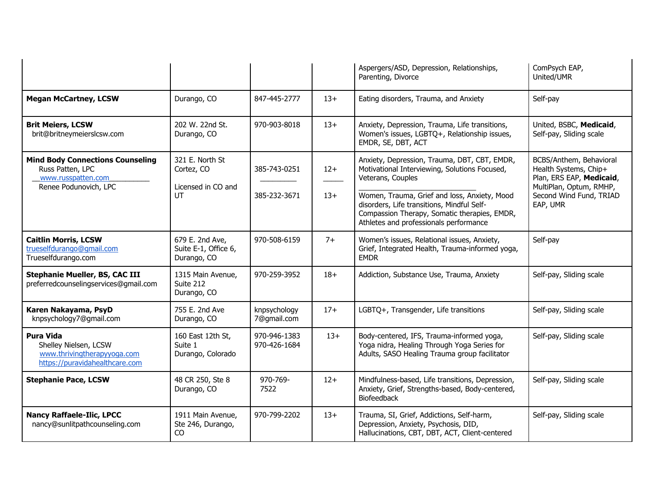|                                                                                                            |                                                           |                              |                | Aspergers/ASD, Depression, Relationships,<br>Parenting, Divorce                                                                                                                                                                                                                                            | ComPsych EAP,<br>United/UMR                                                                                                                    |
|------------------------------------------------------------------------------------------------------------|-----------------------------------------------------------|------------------------------|----------------|------------------------------------------------------------------------------------------------------------------------------------------------------------------------------------------------------------------------------------------------------------------------------------------------------------|------------------------------------------------------------------------------------------------------------------------------------------------|
| <b>Megan McCartney, LCSW</b>                                                                               | Durango, CO                                               | 847-445-2777                 | $13+$          | Eating disorders, Trauma, and Anxiety                                                                                                                                                                                                                                                                      | Self-pay                                                                                                                                       |
| <b>Brit Meiers, LCSW</b><br>brit@britneymeierslcsw.com                                                     | 202 W. 22nd St.<br>Durango, CO                            | 970-903-8018                 | $13+$          | Anxiety, Depression, Trauma, Life transitions,<br>Women's issues, LGBTQ+, Relationship issues,<br>EMDR, SE, DBT, ACT                                                                                                                                                                                       | United, BSBC, Medicaid,<br>Self-pay, Sliding scale                                                                                             |
| <b>Mind Body Connections Counseling</b><br>Russ Patten, LPC<br>www.russpatten.com<br>Renee Podunovich, LPC | 321 E. North St<br>Cortez, CO<br>Licensed in CO and<br>UТ | 385-743-0251<br>385-232-3671 | $12+$<br>$13+$ | Anxiety, Depression, Trauma, DBT, CBT, EMDR,<br>Motivational Interviewing, Solutions Focused,<br>Veterans, Couples<br>Women, Trauma, Grief and loss, Anxiety, Mood<br>disorders, Life transitions, Mindful Self-<br>Compassion Therapy, Somatic therapies, EMDR,<br>Athletes and professionals performance | BCBS/Anthem, Behavioral<br>Health Systems, Chip+<br>Plan, ERS EAP, Medicaid,<br>MultiPlan, Optum, RMHP,<br>Second Wind Fund, TRIAD<br>EAP, UMR |
| <b>Caitlin Morris, LCSW</b><br>trueselfdurango@gmail.com<br>Trueselfdurango.com                            | 679 E. 2nd Ave,<br>Suite E-1, Office 6,<br>Durango, CO    | 970-508-6159                 | $7+$           | Women's issues, Relational issues, Anxiety,<br>Grief, Integrated Health, Trauma-informed yoga,<br><b>EMDR</b>                                                                                                                                                                                              | Self-pay                                                                                                                                       |
| <b>Stephanie Mueller, BS, CAC III</b><br>preferredcounselingservices@gmail.com                             | 1315 Main Avenue,<br>Suite 212<br>Durango, CO             | 970-259-3952                 | $18+$          | Addiction, Substance Use, Trauma, Anxiety                                                                                                                                                                                                                                                                  | Self-pay, Sliding scale                                                                                                                        |
| Karen Nakayama, PsyD<br>knpsychology7@gmail.com                                                            | 755 E. 2nd Ave<br>Durango, CO                             | knpsychology<br>7@gmail.com  | $17+$          | LGBTQ+, Transgender, Life transitions                                                                                                                                                                                                                                                                      | Self-pay, Sliding scale                                                                                                                        |
| <b>Pura Vida</b><br>Shelley Nielsen, LCSW<br>www.thrivingtherapyyoga.com<br>https://puravidahealthcare.com | 160 East 12th St,<br>Suite 1<br>Durango, Colorado         | 970-946-1383<br>970-426-1684 | $13+$          | Body-centered, IFS, Trauma-informed yoga,<br>Yoga nidra, Healing Through Yoga Series for<br>Adults, SASO Healing Trauma group facilitator                                                                                                                                                                  | Self-pay, Sliding scale                                                                                                                        |
| <b>Stephanie Pace, LCSW</b>                                                                                | 48 CR 250, Ste 8<br>Durango, CO                           | 970-769-<br>7522             | $12+$          | Mindfulness-based, Life transitions, Depression,<br>Anxiety, Grief, Strengths-based, Body-centered,<br><b>Biofeedback</b>                                                                                                                                                                                  | Self-pay, Sliding scale                                                                                                                        |
| <b>Nancy Raffaele-Ilic, LPCC</b><br>nancy@sunlitpathcounseling.com                                         | 1911 Main Avenue,<br>Ste 246, Durango,<br>CO.             | 970-799-2202                 | $13+$          | Trauma, SI, Grief, Addictions, Self-harm,<br>Depression, Anxiety, Psychosis, DID,<br>Hallucinations, CBT, DBT, ACT, Client-centered                                                                                                                                                                        | Self-pay, Sliding scale                                                                                                                        |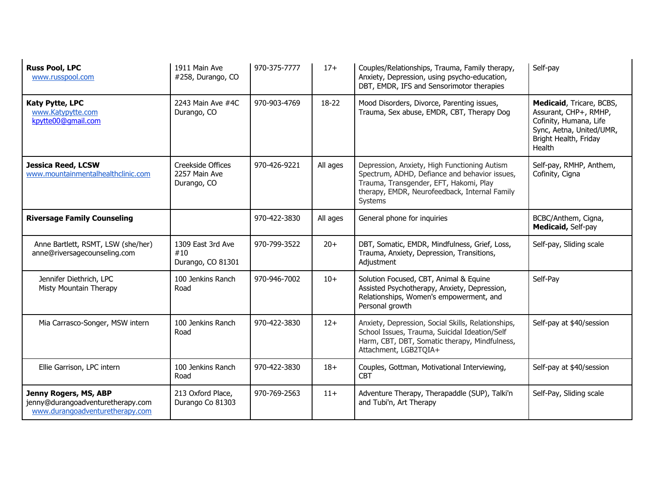| <b>Russ Pool, LPC</b><br>www.russpool.com                                                     | 1911 Main Ave<br>#258, Durango, CO                | 970-375-7777 | $17+$    | Couples/Relationships, Trauma, Family therapy,<br>Anxiety, Depression, using psycho-education,<br>DBT, EMDR, IFS and Sensorimotor therapies                                                         | Self-pay                                                                                                                                   |
|-----------------------------------------------------------------------------------------------|---------------------------------------------------|--------------|----------|-----------------------------------------------------------------------------------------------------------------------------------------------------------------------------------------------------|--------------------------------------------------------------------------------------------------------------------------------------------|
| <b>Katy Pytte, LPC</b><br>www.Katypytte.com<br>kpytte00@qmail.com                             | 2243 Main Ave #4C<br>Durango, CO                  | 970-903-4769 | 18-22    | Mood Disorders, Divorce, Parenting issues,<br>Trauma, Sex abuse, EMDR, CBT, Therapy Dog                                                                                                             | Medicaid, Tricare, BCBS,<br>Assurant, CHP+, RMHP,<br>Cofinity, Humana, Life<br>Sync, Aetna, United/UMR,<br>Bright Health, Friday<br>Health |
| <b>Jessica Reed, LCSW</b><br>www.mountainmentalhealthclinic.com                               | Creekside Offices<br>2257 Main Ave<br>Durango, CO | 970-426-9221 | All ages | Depression, Anxiety, High Functioning Autism<br>Spectrum, ADHD, Defiance and behavior issues,<br>Trauma, Transgender, EFT, Hakomi, Play<br>therapy, EMDR, Neurofeedback, Internal Family<br>Systems | Self-pay, RMHP, Anthem,<br>Cofinity, Cigna                                                                                                 |
| <b>Riversage Family Counseling</b>                                                            |                                                   | 970-422-3830 | All ages | General phone for inquiries                                                                                                                                                                         | BCBC/Anthem, Cigna,<br>Medicaid, Self-pay                                                                                                  |
| Anne Bartlett, RSMT, LSW (she/her)<br>anne@riversagecounseling.com                            | 1309 East 3rd Ave<br>#10<br>Durango, CO 81301     | 970-799-3522 | $20+$    | DBT, Somatic, EMDR, Mindfulness, Grief, Loss,<br>Trauma, Anxiety, Depression, Transitions,<br>Adjustment                                                                                            | Self-pay, Sliding scale                                                                                                                    |
| Jennifer Diethrich, LPC<br>Misty Mountain Therapy                                             | 100 Jenkins Ranch<br>Road                         | 970-946-7002 | $10+$    | Solution Focused, CBT, Animal & Equine<br>Assisted Psychotherapy, Anxiety, Depression,<br>Relationships, Women's empowerment, and<br>Personal growth                                                | Self-Pay                                                                                                                                   |
| Mia Carrasco-Songer, MSW intern                                                               | 100 Jenkins Ranch<br>Road                         | 970-422-3830 | $12+$    | Anxiety, Depression, Social Skills, Relationships,<br>School Issues, Trauma, Suicidal Ideation/Self<br>Harm, CBT, DBT, Somatic therapy, Mindfulness,<br>Attachment, LGB2TQIA+                       | Self-pay at \$40/session                                                                                                                   |
| Ellie Garrison, LPC intern                                                                    | 100 Jenkins Ranch<br>Road                         | 970-422-3830 | $18+$    | Couples, Gottman, Motivational Interviewing,<br>CBT                                                                                                                                                 | Self-pay at \$40/session                                                                                                                   |
| Jenny Rogers, MS, ABP<br>jenny@durangoadventuretherapy.com<br>www.durangoadventuretherapy.com | 213 Oxford Place,<br>Durango Co 81303             | 970-769-2563 | $11+$    | Adventure Therapy, Therapaddle (SUP), Talki'n<br>and Tubi'n, Art Therapy                                                                                                                            | Self-Pay, Sliding scale                                                                                                                    |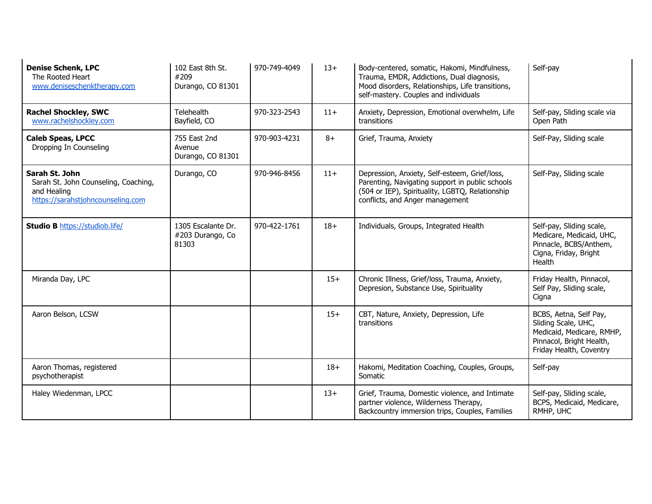| <b>Denise Schenk, LPC</b><br>The Rooted Heart<br>www.deniseschenktherapy.com                               | 102 East 8th St.<br>#209<br>Durango, CO 81301   | 970-749-4049 | $13+$ | Body-centered, somatic, Hakomi, Mindfulness,<br>Trauma, EMDR, Addictions, Dual diagnosis,<br>Mood disorders, Relationships, Life transitions,<br>self-mastery. Couples and individuals | Self-pay                                                                                                                          |
|------------------------------------------------------------------------------------------------------------|-------------------------------------------------|--------------|-------|----------------------------------------------------------------------------------------------------------------------------------------------------------------------------------------|-----------------------------------------------------------------------------------------------------------------------------------|
| <b>Rachel Shockley, SWC</b><br>www.rachelshockley.com                                                      | Telehealth<br>Bayfield, CO                      | 970-323-2543 | $11+$ | Anxiety, Depression, Emotional overwhelm, Life<br>transitions                                                                                                                          | Self-pay, Sliding scale via<br>Open Path                                                                                          |
| <b>Caleb Speas, LPCC</b><br>Dropping In Counseling                                                         | 755 East 2nd<br>Avenue<br>Durango, CO 81301     | 970-903-4231 | $8+$  | Grief, Trauma, Anxiety                                                                                                                                                                 | Self-Pay, Sliding scale                                                                                                           |
| Sarah St. John<br>Sarah St. John Counseling, Coaching,<br>and Healing<br>https://sarahstjohncounseling.com | Durango, CO                                     | 970-946-8456 | $11+$ | Depression, Anxiety, Self-esteem, Grief/loss,<br>Parenting, Navigating support in public schools<br>(504 or IEP), Spirituality, LGBTQ, Relationship<br>conflicts, and Anger management | Self-Pay, Sliding scale                                                                                                           |
| <b>Studio B https://studiob.life/</b>                                                                      | 1305 Escalante Dr.<br>#203 Durango, Co<br>81303 | 970-422-1761 | $18+$ | Individuals, Groups, Integrated Health                                                                                                                                                 | Self-pay, Sliding scale,<br>Medicare, Medicaid, UHC,<br>Pinnacle, BCBS/Anthem,<br>Cigna, Friday, Bright<br>Health                 |
| Miranda Day, LPC                                                                                           |                                                 |              | $15+$ | Chronic Illness, Grief/loss, Trauma, Anxiety,<br>Depresion, Substance Use, Spirituality                                                                                                | Friday Health, Pinnacol,<br>Self Pay, Sliding scale,<br>Cigna                                                                     |
| Aaron Belson, LCSW                                                                                         |                                                 |              | $15+$ | CBT, Nature, Anxiety, Depression, Life<br>transitions                                                                                                                                  | BCBS, Aetna, Self Pay,<br>Sliding Scale, UHC,<br>Medicaid, Medicare, RMHP,<br>Pinnacol, Bright Health,<br>Friday Health, Coventry |
| Aaron Thomas, registered<br>psychotherapist                                                                |                                                 |              | $18+$ | Hakomi, Meditation Coaching, Couples, Groups,<br>Somatic                                                                                                                               | Self-pay                                                                                                                          |
| Haley Wiedenman, LPCC                                                                                      |                                                 |              | $13+$ | Grief, Trauma, Domestic violence, and Intimate<br>partner violence, Wilderness Therapy,<br>Backcountry immersion trips, Couples, Families                                              | Self-pay, Sliding scale,<br>BCPS, Medicaid, Medicare,<br>RMHP, UHC                                                                |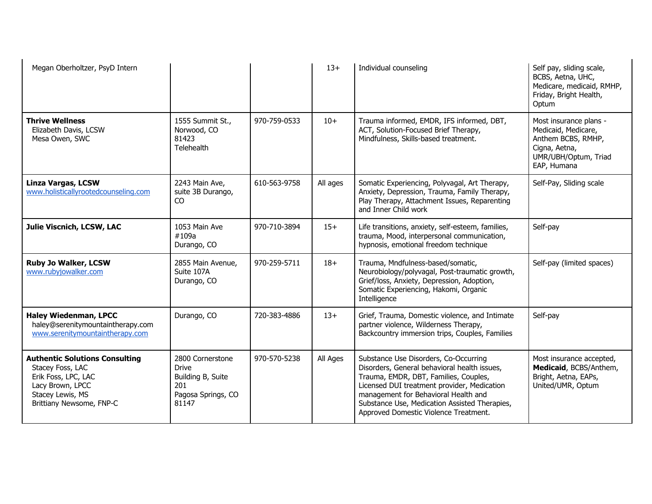| Megan Oberholtzer, PsyD Intern                                                                                                                       |                                                                                             |              | $13+$    | Individual counseling                                                                                                                                                                                                                                                                                           | Self pay, sliding scale,<br>BCBS, Aetna, UHC,<br>Medicare, medicaid, RMHP,<br>Friday, Bright Health,<br>Optum               |
|------------------------------------------------------------------------------------------------------------------------------------------------------|---------------------------------------------------------------------------------------------|--------------|----------|-----------------------------------------------------------------------------------------------------------------------------------------------------------------------------------------------------------------------------------------------------------------------------------------------------------------|-----------------------------------------------------------------------------------------------------------------------------|
| <b>Thrive Wellness</b><br>Elizabeth Davis, LCSW<br>Mesa Owen, SWC                                                                                    | 1555 Summit St.,<br>Norwood, CO<br>81423<br>Telehealth                                      | 970-759-0533 | $10+$    | Trauma informed, EMDR, IFS informed, DBT,<br>ACT, Solution-Focused Brief Therapy,<br>Mindfulness, Skills-based treatment.                                                                                                                                                                                       | Most insurance plans -<br>Medicaid, Medicare,<br>Anthem BCBS, RMHP,<br>Cigna, Aetna,<br>UMR/UBH/Optum, Triad<br>EAP, Humana |
| <b>Linza Vargas, LCSW</b><br>www.holisticallyrootedcounseling.com                                                                                    | 2243 Main Ave,<br>suite 3B Durango,<br>CO                                                   | 610-563-9758 | All ages | Somatic Experiencing, Polyvagal, Art Therapy,<br>Anxiety, Depression, Trauma, Family Therapy,<br>Play Therapy, Attachment Issues, Reparenting<br>and Inner Child work                                                                                                                                           | Self-Pay, Sliding scale                                                                                                     |
| Julie Viscnich, LCSW, LAC                                                                                                                            | 1053 Main Ave<br>#109a<br>Durango, CO                                                       | 970-710-3894 | $15+$    | Life transitions, anxiety, self-esteem, families,<br>trauma, Mood, interpersonal communication,<br>hypnosis, emotional freedom technique                                                                                                                                                                        | Self-pay                                                                                                                    |
| <b>Ruby Jo Walker, LCSW</b><br>www.rubyjowalker.com                                                                                                  | 2855 Main Avenue,<br>Suite 107A<br>Durango, CO                                              | 970-259-5711 | $18+$    | Trauma, Mndfulness-based/somatic,<br>Neurobiology/polyvagal, Post-traumatic growth,<br>Grief/loss, Anxiety, Depression, Adoption,<br>Somatic Experiencing, Hakomi, Organic<br>Intelligence                                                                                                                      | Self-pay (limited spaces)                                                                                                   |
| <b>Haley Wiedenman, LPCC</b><br>haley@serenitymountaintherapy.com<br>www.serenitymountaintherapy.com                                                 | Durango, CO                                                                                 | 720-383-4886 | $13+$    | Grief, Trauma, Domestic violence, and Intimate<br>partner violence, Wilderness Therapy,<br>Backcountry immersion trips, Couples, Families                                                                                                                                                                       | Self-pay                                                                                                                    |
| <b>Authentic Solutions Consulting</b><br>Stacey Foss, LAC<br>Erik Foss, LPC, LAC<br>Lacy Brown, LPCC<br>Stacey Lewis, MS<br>Brittiany Newsome, FNP-C | 2800 Cornerstone<br><b>Drive</b><br>Building B, Suite<br>201<br>Pagosa Springs, CO<br>81147 | 970-570-5238 | All Ages | Substance Use Disorders, Co-Occurring<br>Disorders, General behavioral health issues,<br>Trauma, EMDR, DBT, Families, Couples,<br>Licensed DUI treatment provider, Medication<br>management for Behavioral Health and<br>Substance Use, Medication Assisted Therapies,<br>Approved Domestic Violence Treatment. | Most insurance accepted,<br>Medicaid, BCBS/Anthem,<br>Bright, Aetna, EAPs,<br>United/UMR, Optum                             |